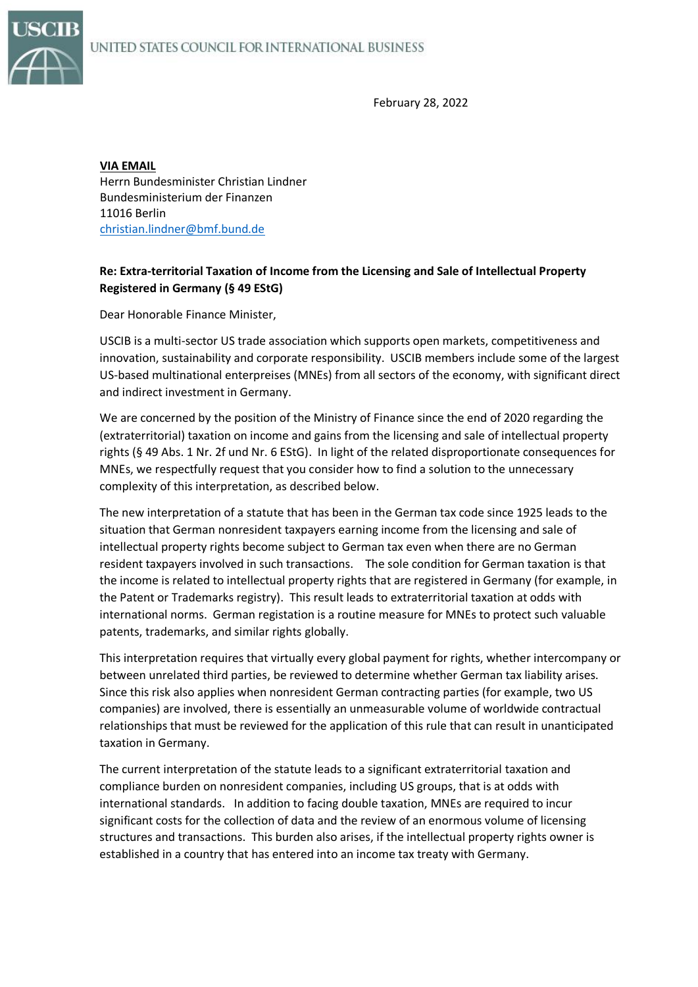

February 28, 2022

**VIA EMAIL** Herrn Bundesminister Christian Lindner Bundesministerium der Finanzen 11016 Berlin [christian.lindner@bmf.bund.de](mailto:christian.lindner@bmf.bund.de)

## **Re: Extra-territorial Taxation of Income from the Licensing and Sale of Intellectual Property Registered in Germany (§ 49 EStG)**

Dear Honorable Finance Minister,

USCIB is a multi-sector US trade association which supports open markets, competitiveness and innovation, sustainability and corporate responsibility. USCIB members include some of the largest US-based multinational enterpreises (MNEs) from all sectors of the economy, with significant direct and indirect investment in Germany.

We are concerned by the position of the Ministry of Finance since the end of 2020 regarding the (extraterritorial) taxation on income and gains from the licensing and sale of intellectual property rights (§ 49 Abs. 1 Nr. 2f und Nr. 6 EStG). In light of the related disproportionate consequences for MNEs, we respectfully request that you consider how to find a solution to the unnecessary complexity of this interpretation, as described below.

The new interpretation of a statute that has been in the German tax code since 1925 leads to the situation that German nonresident taxpayers earning income from the licensing and sale of intellectual property rights become subject to German tax even when there are no German resident taxpayers involved in such transactions. The sole condition for German taxation is that the income is related to intellectual property rights that are registered in Germany (for example, in the Patent or Trademarks registry). This result leads to extraterritorial taxation at odds with international norms. German registation is a routine measure for MNEs to protect such valuable patents, trademarks, and similar rights globally.

This interpretation requires that virtually every global payment for rights, whether intercompany or between unrelated third parties, be reviewed to determine whether German tax liability arises. Since this risk also applies when nonresident German contracting parties (for example, two US companies) are involved, there is essentially an unmeasurable volume of worldwide contractual relationships that must be reviewed for the application of this rule that can result in unanticipated taxation in Germany.

The current interpretation of the statute leads to a significant extraterritorial taxation and compliance burden on nonresident companies, including US groups, that is at odds with international standards. In addition to facing double taxation, MNEs are required to incur significant costs for the collection of data and the review of an enormous volume of licensing structures and transactions. This burden also arises, if the intellectual property rights owner is established in a country that has entered into an income tax treaty with Germany.